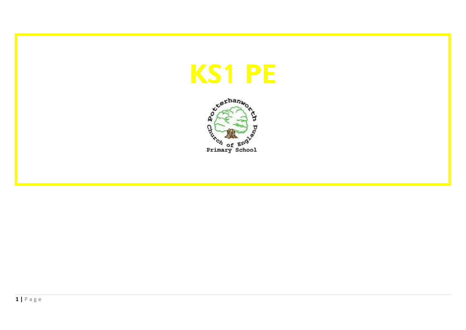

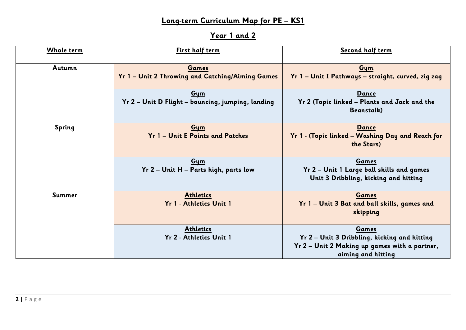## **Long-term Curriculum Map for PE – KS1**

# **Year 1 and 2**

| Whole term | First half term                                                  | Second half term                                                                                                             |
|------------|------------------------------------------------------------------|------------------------------------------------------------------------------------------------------------------------------|
| Autumn     | <b>Games</b><br>Yr 1 - Unit 2 Throwing and Catching/Aiming Games | Gym<br>Yr 1 - Unit I Pathways - straight, curved, zig zag                                                                    |
|            | Gym<br>Yr 2 - Unit D Flight - bouncing, jumping, landing         | <b>Dance</b><br>Yr 2 (Topic linked – Plants and Jack and the<br><b>Beanstalk</b> )                                           |
| Spring     | Gym<br>Yr 1 - Unit E Points and Patches                          | <b>Dance</b><br>Yr 1 - (Topic linked – Washing Day and Reach for<br>the Stars)                                               |
|            | Gym<br>Yr 2 - Unit H - Parts high, parts low                     | <b>Games</b><br>Yr 2 - Unit 1 Large ball skills and games<br>Unit 3 Dribbling, kicking and hitting                           |
| Summer     | <b>Athletics</b><br>Yr 1 - Athletics Unit 1                      | Games<br>Yr 1 - Unit 3 Bat and ball skills, games and<br>skipping                                                            |
|            | <b>Athletics</b><br>Yr 2 - Athletics Unit 1                      | Games<br>Yr 2 – Unit 3 Dribbling, kicking and hitting<br>Yr 2 - Unit 2 Making up games with a partner,<br>aiming and hitting |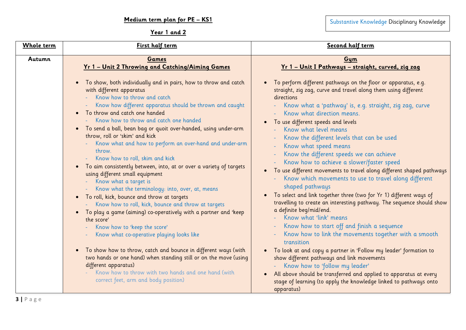## Substantive Knowledge Disciplinary Knowledge

### **Year 1 and 2**

| Whole term | First half term                                                                                                                                                                                                                                                                                                                                                                                                                                                                                                                                                                                                                                                                                                                                                                                                                                                                                                                                                                                                                                                                                                                                                                                                                                             | Second half term                                                                                                                                                                                                                                                                                                                                                                                                                                                                                                                                                                                                                                                                                                                                                                                                                                                                                                                                                                                                                                                                                                                                                                                                                                                             |
|------------|-------------------------------------------------------------------------------------------------------------------------------------------------------------------------------------------------------------------------------------------------------------------------------------------------------------------------------------------------------------------------------------------------------------------------------------------------------------------------------------------------------------------------------------------------------------------------------------------------------------------------------------------------------------------------------------------------------------------------------------------------------------------------------------------------------------------------------------------------------------------------------------------------------------------------------------------------------------------------------------------------------------------------------------------------------------------------------------------------------------------------------------------------------------------------------------------------------------------------------------------------------------|------------------------------------------------------------------------------------------------------------------------------------------------------------------------------------------------------------------------------------------------------------------------------------------------------------------------------------------------------------------------------------------------------------------------------------------------------------------------------------------------------------------------------------------------------------------------------------------------------------------------------------------------------------------------------------------------------------------------------------------------------------------------------------------------------------------------------------------------------------------------------------------------------------------------------------------------------------------------------------------------------------------------------------------------------------------------------------------------------------------------------------------------------------------------------------------------------------------------------------------------------------------------------|
| Autumn     | Games<br><u>Yr 1 - Unit 2 Throwing and Catching/Aiming Games</u>                                                                                                                                                                                                                                                                                                                                                                                                                                                                                                                                                                                                                                                                                                                                                                                                                                                                                                                                                                                                                                                                                                                                                                                            | Gym<br><u>Yr 1 - Unit I Pathways - straight, curved, zig zag</u>                                                                                                                                                                                                                                                                                                                                                                                                                                                                                                                                                                                                                                                                                                                                                                                                                                                                                                                                                                                                                                                                                                                                                                                                             |
|            | To show, both individually and in pairs, how to throw and catch<br>with different apparatus<br>Know how to throw and catch<br>Know how different apparatus should be thrown and caught<br>To throw and catch one handed<br>- Know how to throw and catch one handed<br>To send a ball, bean bag or quoit over-handed, using under-arm<br>$\bullet$<br>throw, roll or 'skim' and kick<br>Know what and how to perform an over-hand and under-arm<br>throw.<br>Know how to roll, skim and kick<br>To aim consistently between, into, at or over a variety of targets<br>$\bullet$<br>using different small equipment<br>Know what a target is<br>Know what the terminology: into, over, at, means<br>To roll, kick, bounce and throw at targets<br>$\bullet$<br>- Know how to roll, kick, bounce and throw at targets<br>To play a game (aiming) co-operatively with a partner and 'keep<br>$\bullet$<br>the score'<br>Know how to 'keep the score'<br>Know what co-operative playing looks like<br>To show how to throw, catch and bounce in different ways (with<br>two hands or one hand) when standing still or on the move (using<br>different apparatus)<br>Know how to throw with two hands and one hand (with<br>correct feet, arm and body position) | To perform different pathways on the floor or apparatus, e.g.<br>straight, zig zag, curve and travel along them using different<br>directions<br>Know what a 'pathway' is, e.g. straight, zig zag, curve<br>Know what direction means.<br>To use different speeds and levels<br>$\bullet$<br>Know what level means<br>Know the different levels that can be used<br>Know what speed means<br>Know the different speeds we can achieve<br>Know how to achieve a slower/faster speed<br>To use different movements to travel along different shaped pathways<br>Know which movements to use to travel along different<br>shaped pathways<br>To select and link together three (two for Yr 1) different ways of<br>travelling to create an interesting pathway. The sequence should show<br>a definite beg/mid/end.<br>Know what 'link' means<br>Know how to start off and finish a sequence<br>Know how to link the movements together with a smooth<br>transition<br>To look at and copy a partner in 'Follow my leader' formation to<br>show different pathways and link movements<br>Know how to 'follow my leader'<br>All above should be transferred and applied to apparatus at every<br>stage of learning (to apply the knowledge linked to pathways onto<br>apparatus) |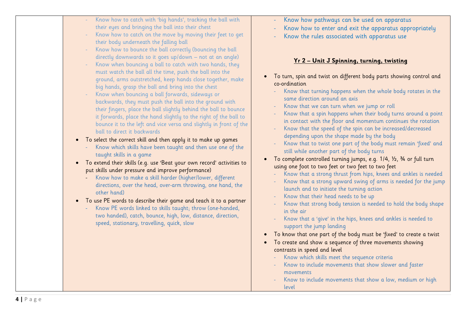| Know how to catch with 'big hands', tracking the ball with<br>Know how pathways can be used on apparatus<br>their eyes and bringing the ball into their chest<br>Know how to enter and exit the apparatus appropriately<br>Know how to catch on the move by moving their feet to get<br>Know the rules associated with apparatus use<br>their body underneath the falling ball | Know how to bounce the ball correctly (bouncing the ball<br>directly downwards so it goes up/down - not at an angle)<br>Know when bouncing a ball to catch with two hands, they<br>must watch the ball all the time, push the ball into the<br>ground, arms outstretched, keep hands close together, make<br>big hands, grasp the ball and bring into the chest<br>Know when bouncing a ball forwards, sideways or<br>backwards, they must push the ball into the ground with<br>their fingers, place the ball slightly behind the ball to bounce<br>it forwards, place the hand slightly to the right of the ball to<br>bounce it to the left and vice versa and slightly in front of the<br>ball to direct it backwards<br>. To select the correct skill and then apply it to make up games<br>Know which skills have been taught and then use one of the<br>taught skills in a game<br>To extend their skills (e.g. use 'Beat your own record' activities to<br>put skills under pressure and improve performance)<br>Know how to make a skill harder (higher/lower, different<br>directions, over the head, over-arm throwing, one hand, the<br>other hand)<br>• To use PE words to describe their game and teach it to a partner<br>Know PE words linked to skills taught; throw (one-handed,<br>two handed), catch, bounce, high, low, distance, direction,<br>speed, stationary, travelling, quick, slow | <u>Yr 2 - Unit J Spinning, turning, twisting</u><br>To turn, spin and twist on different body parts showing control and<br>co-ordination<br>Know that turning happens when the whole body rotates in the<br>same direction around an axis<br>Know that we can turn when we jump or roll<br>Know that a spin happens when their body turns around a point<br>in contact with the floor and momentum continues the rotation<br>Know that the speed of the spin can be increased/decreased<br>depending upon the shape made by the body<br>Know that to twist one part of the body must remain 'fixed' and<br>still while another part of the body turns<br>To complete controlled turning jumps, e.g. 1/4, 1/2, 3/4 or full turn<br>using one foot to two feet or two feet to two feet<br>Know that a strong thrust from hips, knees and ankles is needed<br>Know that a strong upward swing of arms is needed for the jump<br>launch and to initiate the turning action<br>Know that their head needs to be up<br>Know that strong body tension is needed to hold the body shape<br>in the air<br>Know that a 'give' in the hips, knees and ankles is needed to<br>support the jump landing<br>To know that one part of the body must be 'fixed' to create a twist<br>To create and show a sequence of three movements showing<br>contrasts in speed and level<br>Know which skills meet the sequence criteria<br>Know to include movements that show slower and faster<br>movements<br>Know to include movements that show a low, medium or high<br>level |
|--------------------------------------------------------------------------------------------------------------------------------------------------------------------------------------------------------------------------------------------------------------------------------------------------------------------------------------------------------------------------------|-----------------------------------------------------------------------------------------------------------------------------------------------------------------------------------------------------------------------------------------------------------------------------------------------------------------------------------------------------------------------------------------------------------------------------------------------------------------------------------------------------------------------------------------------------------------------------------------------------------------------------------------------------------------------------------------------------------------------------------------------------------------------------------------------------------------------------------------------------------------------------------------------------------------------------------------------------------------------------------------------------------------------------------------------------------------------------------------------------------------------------------------------------------------------------------------------------------------------------------------------------------------------------------------------------------------------------------------------------------------------------------------------------------------|-----------------------------------------------------------------------------------------------------------------------------------------------------------------------------------------------------------------------------------------------------------------------------------------------------------------------------------------------------------------------------------------------------------------------------------------------------------------------------------------------------------------------------------------------------------------------------------------------------------------------------------------------------------------------------------------------------------------------------------------------------------------------------------------------------------------------------------------------------------------------------------------------------------------------------------------------------------------------------------------------------------------------------------------------------------------------------------------------------------------------------------------------------------------------------------------------------------------------------------------------------------------------------------------------------------------------------------------------------------------------------------------------------------------------------------------------------------------------------------------------------------------------------------------------------------|
|                                                                                                                                                                                                                                                                                                                                                                                |                                                                                                                                                                                                                                                                                                                                                                                                                                                                                                                                                                                                                                                                                                                                                                                                                                                                                                                                                                                                                                                                                                                                                                                                                                                                                                                                                                                                                 |                                                                                                                                                                                                                                                                                                                                                                                                                                                                                                                                                                                                                                                                                                                                                                                                                                                                                                                                                                                                                                                                                                                                                                                                                                                                                                                                                                                                                                                                                                                                                           |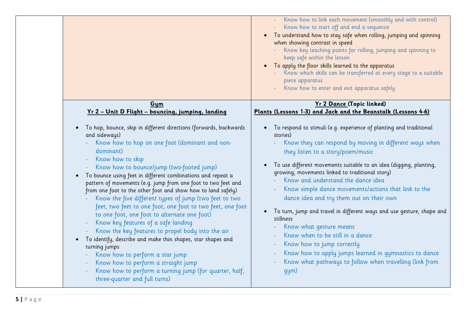|                                                                                                                                                                                                                                                                                                                                                                                                                                                                                                                                                                                                                                                                                                                                                                                                                                                                                                                                             | Know how to link each movement (smoothly and with control)<br>Know how to start off and end a sequence<br>To understand how to stay safe when rolling, jumping and spinning<br>$\bullet$<br>when showing contrast in speed<br>Know key teaching points for rolling, jumping and spinning to<br>keep safe within the lesson<br>To apply the floor skills learned to the apparatus<br>Know which skills can be transferred at every stage to a suitable<br>piece apparatus<br>Know how to enter and exit apparatus safely                                                                                                                                                                                                                                                                    |
|---------------------------------------------------------------------------------------------------------------------------------------------------------------------------------------------------------------------------------------------------------------------------------------------------------------------------------------------------------------------------------------------------------------------------------------------------------------------------------------------------------------------------------------------------------------------------------------------------------------------------------------------------------------------------------------------------------------------------------------------------------------------------------------------------------------------------------------------------------------------------------------------------------------------------------------------|--------------------------------------------------------------------------------------------------------------------------------------------------------------------------------------------------------------------------------------------------------------------------------------------------------------------------------------------------------------------------------------------------------------------------------------------------------------------------------------------------------------------------------------------------------------------------------------------------------------------------------------------------------------------------------------------------------------------------------------------------------------------------------------------|
| Gym<br><u>Yr 2 - Unit D Flight - bouncing, jumping, landing</u>                                                                                                                                                                                                                                                                                                                                                                                                                                                                                                                                                                                                                                                                                                                                                                                                                                                                             | <u>Yr 2 Dance (</u> Topic linked)<br>Plants (Lessons 1-3) and Jack and the Beanstalk (Lessons 4-6)                                                                                                                                                                                                                                                                                                                                                                                                                                                                                                                                                                                                                                                                                         |
| To hop, bounce, skip in different directions (forwards, backwards<br>and sideways)<br>Know how to hop on one foot (dominant and non-<br>dominant)<br>Know how to skip<br>Know how to bounce/jump (two-footed jump)<br>To bounce using feet in different combinations and repeat a<br>pattern of movements (e.g. jump from one foot to two feet and<br>from one foot to the other foot and show how to land safely)<br>Know the five different types of jump (two feet to two<br>feet, two feet to one foot, one foot to two feet, one foot<br>to one foot, one foot to alternate one foot)<br>Know key features of a safe landing<br>Know the key features to propel body into the air<br>To identify, describe and make thin shapes, star shapes and<br>turning jumps<br>Know how to perform a star jump<br>Know how to perform a straight jump<br>Know how to perform a turning jump (for quarter, half,<br>three-quarter and full turns) | To respond to stimuli (e.g. experience of planting and traditional<br>$\bullet$<br>stories)<br>Know they can respond by moving in different ways when<br>they listen to a story/poem/music<br>To use different movements suitable to an idea (digging, planting,<br>growing, movements linked to traditional story)<br>Know and understand the dance idea<br>Know simple dance movements/actions that link to the<br>dance idea and try them out on their own<br>To turn, jump and travel in different ways and use gesture, shape and<br>$\bullet$<br>stillness<br>Know what gesture means<br>Know when to be still in a dance<br>Know how to jump correctly<br>Know how to apply jumps learned in gymnastics to dance<br>Know what pathways to follow when travelling (link from<br>gym) |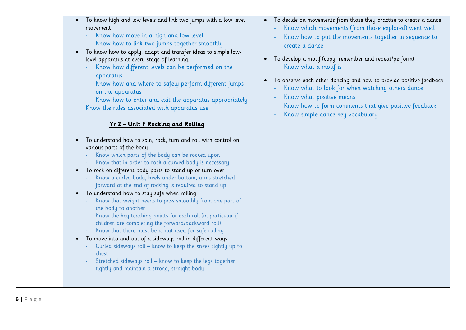| $\bullet$ | To know high and low levels and link two jumps with a low level |  |  |  |  |
|-----------|-----------------------------------------------------------------|--|--|--|--|
|           | movement                                                        |  |  |  |  |

- Know how move in a high and low level
- Know how to link two jumps together smoothly

• To know how to apply, adapt and transfer ideas to simple lowlevel apparatus at every stage of learning.

- Know how different levels can be performed on the apparatus
- Know how and where to safely perform different jumps on the apparatus

Know how to enter and exit the apparatus appropriately Know the rules associated with apparatus use

#### **Yr 2 – Unit F Rocking and Rolling**

- To understand how to spin, rock, turn and roll with control on various parts of the body
	- Know which parts of the body can be rocked upon
	- Know that in order to rock a curved body is necessary
- To rock on different body parts to stand up or turn over
	- Know a curled body, heels under bottom, arms stretched forward at the end of rocking is required to stand up
- To understand how to stay safe when rolling
	- Know that weight needs to pass smoothly from one part of the body to another
	- Know the key teaching points for each roll (in particular if children are completing the forward/backward roll)
	- Know that there must be a mat used for safe rolling
- To move into and out of a sideways roll in different ways
	- Curled sideways roll know to keep the knees tightly up to chest
	- Stretched sideways roll know to keep the legs together tightly and maintain a strong, straight body
- To decide on movements from those they practise to create a dance
	- Know which movements (from those explored) went well
	- Know how to put the movements together in sequence to create a dance
- To develop a motif (copy, remember and repeat/perform)
	- Know what a motif is
- To observe each other dancing and how to provide positive feedback
	- Know what to look for when watching others dance
	- Know what positive means
	- Know how to form comments that give positive feedback
	- Know simple dance key vocabulary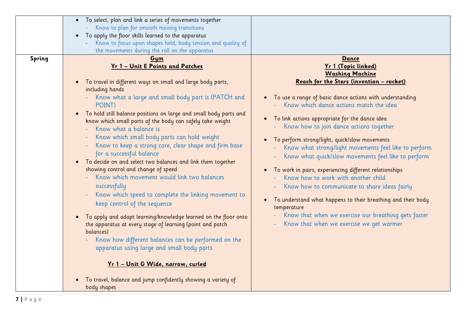|        | To select, plan and link a series of movements together<br>Know to plan for smooth moving transitions<br>To apply the floor skills learned to the apparatus                                                                                                                                                                                                                                                                                                                                                                                                                                                                                                            |                                                                                                                                                                                                                                                                                                                                                                                                                  |
|--------|------------------------------------------------------------------------------------------------------------------------------------------------------------------------------------------------------------------------------------------------------------------------------------------------------------------------------------------------------------------------------------------------------------------------------------------------------------------------------------------------------------------------------------------------------------------------------------------------------------------------------------------------------------------------|------------------------------------------------------------------------------------------------------------------------------------------------------------------------------------------------------------------------------------------------------------------------------------------------------------------------------------------------------------------------------------------------------------------|
| Spring | Know to focus upon shapes held, body tension and quality of<br>$\overline{\phantom{a}}$<br>the movements during the roll on the apparatus<br>Gym<br>Yr 1 - Unit E Points and Patches<br>To travel in different ways on small and large body parts,<br>including hands<br>Know what a large and small body part is (PATCH and<br>POINT)<br>• To hold still balance positions on large and small body parts and<br>know which small parts of the body can safely take weight<br>Know what a balance is<br>Know which small body parts can hold weight<br>Know to keep a strong core, clear shape and firm base<br>٠<br>for a successful balance                          | Dance<br>Yr 1 (Topic linked)<br><b>Washing Machine</b><br>Reach for the Stars (invention - rocket)<br>To use a range of basic dance actions with understanding<br>Know which dance actions match the idea<br>To link actions appropriate for the dance idea<br>Know how to join dance actions together<br>To perform strong/light, quick/slow movements<br>Know what strong/light movements feel like to perform |
| - 1 -  | To decide on and select two balances and link them together<br>$\bullet$<br>showing control and change of speed<br>Know which movement would link two balances<br>successfully<br>Know which speed to complete the linking movement to<br>$\blacksquare$<br>keep control of the sequence<br>To apply and adapt learning/knowledge learned on the floor onto<br>the apparatus at every stage of learning (point and patch<br>balances)<br>Know how different balances can be performed on the<br>apparatus using large and small body parts<br><u>Yr 1 - Unit G Wide, narrow, curled</u><br>To travel, balance and jump confidently showing a variety of<br>body shapes | Know what quick/slow movements feel like to perform<br>To work in pairs, experiencing different relationships<br>Know how to work with another child<br>Know how to communicate to share ideas fairly<br>To understand what happens to their breathing and their body<br>temperature<br>Know that when we exercise our breathing gets faster<br>Know that when we exercise we get warmer                         |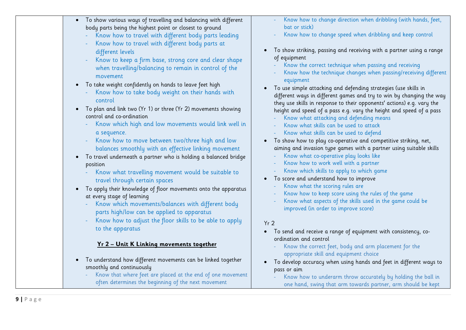| bat or stick)<br>body parts being the highest point or closest to ground<br>Know how to change speed when dribbling and keep control<br>Know how to travel with different body parts leading<br>Know how to travel with different body parts at<br>To show striking, passing and receiving with a partner using a range<br>different levels<br>of equipment<br>Know to keep a firm base, strong core and clear shape<br>Know the correct technique when passing and receiving<br>when travelling/balancing to remain in control of the<br>Know how the technique changes when passing/receiving different<br>movement<br>equipment<br>• To take weight confidently on hands to leave feet high<br>To use simple attacking and defending strategies (use skills in<br>Know how to take body weight on their hands with<br>different ways in different games and try to win by changing the way<br>control<br>they use skills in response to their opponents' actions) e.g. vary the<br>To plan and link two (Yr 1) or three (Yr 2) movements showing<br>$\bullet$<br>height and speed of a pass e.g. vary the height and speed of a pass<br>control and co-ordination<br>Know what attacking and defending means<br>Know which high and low movements would link well in<br>Know what skills can be used to attack<br>Know what skills can be used to defend<br>a sequence.<br>Know how to move between two/three high and low<br>To show how to play co-operative and competitive striking, net,<br>aiming and invasion type games with a partner using suitable skills<br>balances smoothly with an effective linking movement<br>Know what co-operative play looks like<br>• To travel underneath a partner who is holding a balanced bridge<br>Know how to work well with a partner<br>position<br>Know which skills to apply to which game<br>Know what travelling movement would be suitable to<br>To score and understand how to improve<br>travel through certain spaces<br>Know what the scoring rules are<br>To apply their knowledge of floor movements onto the apparatus<br>$\bullet$<br>Know how to keep score using the rules of the game<br>at every stage of learning<br>Know what aspects of the skills used in the game could be<br>Know which movements/balances with different body<br>improved (in order to improve score)<br>parts high/low can be applied to apparatus<br>Know how to adjust the floor skills to be able to apply<br>Yr <sub>2</sub><br>to the apparatus<br>• To send and receive a range of equipment with consistency, co-<br>ordination and control<br><u>Yr 2 - Unit K Linking movements together</u><br>Know the correct feet, body and arm placement for the<br>appropriate skill and equipment choice<br>To understand how different movements can be linked together<br>$\bullet$<br>To develop accuracy when using hands and feet in different ways to<br>smoothly and continuously<br>pass or aim<br>Know that where feet are placed at the end of one movement<br>Know how to underarm throw accurately by holding the ball in<br>often determines the beginning of the next movement<br>one hand, swing that arm towards partner, arm should be kept |                                                                   |                                                                |
|---------------------------------------------------------------------------------------------------------------------------------------------------------------------------------------------------------------------------------------------------------------------------------------------------------------------------------------------------------------------------------------------------------------------------------------------------------------------------------------------------------------------------------------------------------------------------------------------------------------------------------------------------------------------------------------------------------------------------------------------------------------------------------------------------------------------------------------------------------------------------------------------------------------------------------------------------------------------------------------------------------------------------------------------------------------------------------------------------------------------------------------------------------------------------------------------------------------------------------------------------------------------------------------------------------------------------------------------------------------------------------------------------------------------------------------------------------------------------------------------------------------------------------------------------------------------------------------------------------------------------------------------------------------------------------------------------------------------------------------------------------------------------------------------------------------------------------------------------------------------------------------------------------------------------------------------------------------------------------------------------------------------------------------------------------------------------------------------------------------------------------------------------------------------------------------------------------------------------------------------------------------------------------------------------------------------------------------------------------------------------------------------------------------------------------------------------------------------------------------------------------------------------------------------------------------------------------------------------------------------------------------------------------------------------------------------------------------------------------------------------------------------------------------------------------------------------------------------------------------------------------------------------------------------------------------------------------------------------------------------------------------------------------------------------------------------------------------------------------------------------------------------------------------------------------------------------------|-------------------------------------------------------------------|----------------------------------------------------------------|
|                                                                                                                                                                                                                                                                                                                                                                                                                                                                                                                                                                                                                                                                                                                                                                                                                                                                                                                                                                                                                                                                                                                                                                                                                                                                                                                                                                                                                                                                                                                                                                                                                                                                                                                                                                                                                                                                                                                                                                                                                                                                                                                                                                                                                                                                                                                                                                                                                                                                                                                                                                                                                                                                                                                                                                                                                                                                                                                                                                                                                                                                                                                                                                                                         | • To show various ways of travelling and balancing with different | Know how to change direction when dribbling (with hands, feet, |
|                                                                                                                                                                                                                                                                                                                                                                                                                                                                                                                                                                                                                                                                                                                                                                                                                                                                                                                                                                                                                                                                                                                                                                                                                                                                                                                                                                                                                                                                                                                                                                                                                                                                                                                                                                                                                                                                                                                                                                                                                                                                                                                                                                                                                                                                                                                                                                                                                                                                                                                                                                                                                                                                                                                                                                                                                                                                                                                                                                                                                                                                                                                                                                                                         |                                                                   |                                                                |
|                                                                                                                                                                                                                                                                                                                                                                                                                                                                                                                                                                                                                                                                                                                                                                                                                                                                                                                                                                                                                                                                                                                                                                                                                                                                                                                                                                                                                                                                                                                                                                                                                                                                                                                                                                                                                                                                                                                                                                                                                                                                                                                                                                                                                                                                                                                                                                                                                                                                                                                                                                                                                                                                                                                                                                                                                                                                                                                                                                                                                                                                                                                                                                                                         |                                                                   |                                                                |
|                                                                                                                                                                                                                                                                                                                                                                                                                                                                                                                                                                                                                                                                                                                                                                                                                                                                                                                                                                                                                                                                                                                                                                                                                                                                                                                                                                                                                                                                                                                                                                                                                                                                                                                                                                                                                                                                                                                                                                                                                                                                                                                                                                                                                                                                                                                                                                                                                                                                                                                                                                                                                                                                                                                                                                                                                                                                                                                                                                                                                                                                                                                                                                                                         |                                                                   |                                                                |
|                                                                                                                                                                                                                                                                                                                                                                                                                                                                                                                                                                                                                                                                                                                                                                                                                                                                                                                                                                                                                                                                                                                                                                                                                                                                                                                                                                                                                                                                                                                                                                                                                                                                                                                                                                                                                                                                                                                                                                                                                                                                                                                                                                                                                                                                                                                                                                                                                                                                                                                                                                                                                                                                                                                                                                                                                                                                                                                                                                                                                                                                                                                                                                                                         |                                                                   |                                                                |
|                                                                                                                                                                                                                                                                                                                                                                                                                                                                                                                                                                                                                                                                                                                                                                                                                                                                                                                                                                                                                                                                                                                                                                                                                                                                                                                                                                                                                                                                                                                                                                                                                                                                                                                                                                                                                                                                                                                                                                                                                                                                                                                                                                                                                                                                                                                                                                                                                                                                                                                                                                                                                                                                                                                                                                                                                                                                                                                                                                                                                                                                                                                                                                                                         |                                                                   |                                                                |
|                                                                                                                                                                                                                                                                                                                                                                                                                                                                                                                                                                                                                                                                                                                                                                                                                                                                                                                                                                                                                                                                                                                                                                                                                                                                                                                                                                                                                                                                                                                                                                                                                                                                                                                                                                                                                                                                                                                                                                                                                                                                                                                                                                                                                                                                                                                                                                                                                                                                                                                                                                                                                                                                                                                                                                                                                                                                                                                                                                                                                                                                                                                                                                                                         |                                                                   |                                                                |
|                                                                                                                                                                                                                                                                                                                                                                                                                                                                                                                                                                                                                                                                                                                                                                                                                                                                                                                                                                                                                                                                                                                                                                                                                                                                                                                                                                                                                                                                                                                                                                                                                                                                                                                                                                                                                                                                                                                                                                                                                                                                                                                                                                                                                                                                                                                                                                                                                                                                                                                                                                                                                                                                                                                                                                                                                                                                                                                                                                                                                                                                                                                                                                                                         |                                                                   |                                                                |
|                                                                                                                                                                                                                                                                                                                                                                                                                                                                                                                                                                                                                                                                                                                                                                                                                                                                                                                                                                                                                                                                                                                                                                                                                                                                                                                                                                                                                                                                                                                                                                                                                                                                                                                                                                                                                                                                                                                                                                                                                                                                                                                                                                                                                                                                                                                                                                                                                                                                                                                                                                                                                                                                                                                                                                                                                                                                                                                                                                                                                                                                                                                                                                                                         |                                                                   |                                                                |
|                                                                                                                                                                                                                                                                                                                                                                                                                                                                                                                                                                                                                                                                                                                                                                                                                                                                                                                                                                                                                                                                                                                                                                                                                                                                                                                                                                                                                                                                                                                                                                                                                                                                                                                                                                                                                                                                                                                                                                                                                                                                                                                                                                                                                                                                                                                                                                                                                                                                                                                                                                                                                                                                                                                                                                                                                                                                                                                                                                                                                                                                                                                                                                                                         |                                                                   |                                                                |
|                                                                                                                                                                                                                                                                                                                                                                                                                                                                                                                                                                                                                                                                                                                                                                                                                                                                                                                                                                                                                                                                                                                                                                                                                                                                                                                                                                                                                                                                                                                                                                                                                                                                                                                                                                                                                                                                                                                                                                                                                                                                                                                                                                                                                                                                                                                                                                                                                                                                                                                                                                                                                                                                                                                                                                                                                                                                                                                                                                                                                                                                                                                                                                                                         |                                                                   |                                                                |
|                                                                                                                                                                                                                                                                                                                                                                                                                                                                                                                                                                                                                                                                                                                                                                                                                                                                                                                                                                                                                                                                                                                                                                                                                                                                                                                                                                                                                                                                                                                                                                                                                                                                                                                                                                                                                                                                                                                                                                                                                                                                                                                                                                                                                                                                                                                                                                                                                                                                                                                                                                                                                                                                                                                                                                                                                                                                                                                                                                                                                                                                                                                                                                                                         |                                                                   |                                                                |
|                                                                                                                                                                                                                                                                                                                                                                                                                                                                                                                                                                                                                                                                                                                                                                                                                                                                                                                                                                                                                                                                                                                                                                                                                                                                                                                                                                                                                                                                                                                                                                                                                                                                                                                                                                                                                                                                                                                                                                                                                                                                                                                                                                                                                                                                                                                                                                                                                                                                                                                                                                                                                                                                                                                                                                                                                                                                                                                                                                                                                                                                                                                                                                                                         |                                                                   |                                                                |
|                                                                                                                                                                                                                                                                                                                                                                                                                                                                                                                                                                                                                                                                                                                                                                                                                                                                                                                                                                                                                                                                                                                                                                                                                                                                                                                                                                                                                                                                                                                                                                                                                                                                                                                                                                                                                                                                                                                                                                                                                                                                                                                                                                                                                                                                                                                                                                                                                                                                                                                                                                                                                                                                                                                                                                                                                                                                                                                                                                                                                                                                                                                                                                                                         |                                                                   |                                                                |
|                                                                                                                                                                                                                                                                                                                                                                                                                                                                                                                                                                                                                                                                                                                                                                                                                                                                                                                                                                                                                                                                                                                                                                                                                                                                                                                                                                                                                                                                                                                                                                                                                                                                                                                                                                                                                                                                                                                                                                                                                                                                                                                                                                                                                                                                                                                                                                                                                                                                                                                                                                                                                                                                                                                                                                                                                                                                                                                                                                                                                                                                                                                                                                                                         |                                                                   |                                                                |
|                                                                                                                                                                                                                                                                                                                                                                                                                                                                                                                                                                                                                                                                                                                                                                                                                                                                                                                                                                                                                                                                                                                                                                                                                                                                                                                                                                                                                                                                                                                                                                                                                                                                                                                                                                                                                                                                                                                                                                                                                                                                                                                                                                                                                                                                                                                                                                                                                                                                                                                                                                                                                                                                                                                                                                                                                                                                                                                                                                                                                                                                                                                                                                                                         |                                                                   |                                                                |
|                                                                                                                                                                                                                                                                                                                                                                                                                                                                                                                                                                                                                                                                                                                                                                                                                                                                                                                                                                                                                                                                                                                                                                                                                                                                                                                                                                                                                                                                                                                                                                                                                                                                                                                                                                                                                                                                                                                                                                                                                                                                                                                                                                                                                                                                                                                                                                                                                                                                                                                                                                                                                                                                                                                                                                                                                                                                                                                                                                                                                                                                                                                                                                                                         |                                                                   |                                                                |
|                                                                                                                                                                                                                                                                                                                                                                                                                                                                                                                                                                                                                                                                                                                                                                                                                                                                                                                                                                                                                                                                                                                                                                                                                                                                                                                                                                                                                                                                                                                                                                                                                                                                                                                                                                                                                                                                                                                                                                                                                                                                                                                                                                                                                                                                                                                                                                                                                                                                                                                                                                                                                                                                                                                                                                                                                                                                                                                                                                                                                                                                                                                                                                                                         |                                                                   |                                                                |
|                                                                                                                                                                                                                                                                                                                                                                                                                                                                                                                                                                                                                                                                                                                                                                                                                                                                                                                                                                                                                                                                                                                                                                                                                                                                                                                                                                                                                                                                                                                                                                                                                                                                                                                                                                                                                                                                                                                                                                                                                                                                                                                                                                                                                                                                                                                                                                                                                                                                                                                                                                                                                                                                                                                                                                                                                                                                                                                                                                                                                                                                                                                                                                                                         |                                                                   |                                                                |
|                                                                                                                                                                                                                                                                                                                                                                                                                                                                                                                                                                                                                                                                                                                                                                                                                                                                                                                                                                                                                                                                                                                                                                                                                                                                                                                                                                                                                                                                                                                                                                                                                                                                                                                                                                                                                                                                                                                                                                                                                                                                                                                                                                                                                                                                                                                                                                                                                                                                                                                                                                                                                                                                                                                                                                                                                                                                                                                                                                                                                                                                                                                                                                                                         |                                                                   |                                                                |
|                                                                                                                                                                                                                                                                                                                                                                                                                                                                                                                                                                                                                                                                                                                                                                                                                                                                                                                                                                                                                                                                                                                                                                                                                                                                                                                                                                                                                                                                                                                                                                                                                                                                                                                                                                                                                                                                                                                                                                                                                                                                                                                                                                                                                                                                                                                                                                                                                                                                                                                                                                                                                                                                                                                                                                                                                                                                                                                                                                                                                                                                                                                                                                                                         |                                                                   |                                                                |
|                                                                                                                                                                                                                                                                                                                                                                                                                                                                                                                                                                                                                                                                                                                                                                                                                                                                                                                                                                                                                                                                                                                                                                                                                                                                                                                                                                                                                                                                                                                                                                                                                                                                                                                                                                                                                                                                                                                                                                                                                                                                                                                                                                                                                                                                                                                                                                                                                                                                                                                                                                                                                                                                                                                                                                                                                                                                                                                                                                                                                                                                                                                                                                                                         |                                                                   |                                                                |
|                                                                                                                                                                                                                                                                                                                                                                                                                                                                                                                                                                                                                                                                                                                                                                                                                                                                                                                                                                                                                                                                                                                                                                                                                                                                                                                                                                                                                                                                                                                                                                                                                                                                                                                                                                                                                                                                                                                                                                                                                                                                                                                                                                                                                                                                                                                                                                                                                                                                                                                                                                                                                                                                                                                                                                                                                                                                                                                                                                                                                                                                                                                                                                                                         |                                                                   |                                                                |
|                                                                                                                                                                                                                                                                                                                                                                                                                                                                                                                                                                                                                                                                                                                                                                                                                                                                                                                                                                                                                                                                                                                                                                                                                                                                                                                                                                                                                                                                                                                                                                                                                                                                                                                                                                                                                                                                                                                                                                                                                                                                                                                                                                                                                                                                                                                                                                                                                                                                                                                                                                                                                                                                                                                                                                                                                                                                                                                                                                                                                                                                                                                                                                                                         |                                                                   |                                                                |
|                                                                                                                                                                                                                                                                                                                                                                                                                                                                                                                                                                                                                                                                                                                                                                                                                                                                                                                                                                                                                                                                                                                                                                                                                                                                                                                                                                                                                                                                                                                                                                                                                                                                                                                                                                                                                                                                                                                                                                                                                                                                                                                                                                                                                                                                                                                                                                                                                                                                                                                                                                                                                                                                                                                                                                                                                                                                                                                                                                                                                                                                                                                                                                                                         |                                                                   |                                                                |
|                                                                                                                                                                                                                                                                                                                                                                                                                                                                                                                                                                                                                                                                                                                                                                                                                                                                                                                                                                                                                                                                                                                                                                                                                                                                                                                                                                                                                                                                                                                                                                                                                                                                                                                                                                                                                                                                                                                                                                                                                                                                                                                                                                                                                                                                                                                                                                                                                                                                                                                                                                                                                                                                                                                                                                                                                                                                                                                                                                                                                                                                                                                                                                                                         |                                                                   |                                                                |
|                                                                                                                                                                                                                                                                                                                                                                                                                                                                                                                                                                                                                                                                                                                                                                                                                                                                                                                                                                                                                                                                                                                                                                                                                                                                                                                                                                                                                                                                                                                                                                                                                                                                                                                                                                                                                                                                                                                                                                                                                                                                                                                                                                                                                                                                                                                                                                                                                                                                                                                                                                                                                                                                                                                                                                                                                                                                                                                                                                                                                                                                                                                                                                                                         |                                                                   |                                                                |
|                                                                                                                                                                                                                                                                                                                                                                                                                                                                                                                                                                                                                                                                                                                                                                                                                                                                                                                                                                                                                                                                                                                                                                                                                                                                                                                                                                                                                                                                                                                                                                                                                                                                                                                                                                                                                                                                                                                                                                                                                                                                                                                                                                                                                                                                                                                                                                                                                                                                                                                                                                                                                                                                                                                                                                                                                                                                                                                                                                                                                                                                                                                                                                                                         |                                                                   |                                                                |
|                                                                                                                                                                                                                                                                                                                                                                                                                                                                                                                                                                                                                                                                                                                                                                                                                                                                                                                                                                                                                                                                                                                                                                                                                                                                                                                                                                                                                                                                                                                                                                                                                                                                                                                                                                                                                                                                                                                                                                                                                                                                                                                                                                                                                                                                                                                                                                                                                                                                                                                                                                                                                                                                                                                                                                                                                                                                                                                                                                                                                                                                                                                                                                                                         |                                                                   |                                                                |
|                                                                                                                                                                                                                                                                                                                                                                                                                                                                                                                                                                                                                                                                                                                                                                                                                                                                                                                                                                                                                                                                                                                                                                                                                                                                                                                                                                                                                                                                                                                                                                                                                                                                                                                                                                                                                                                                                                                                                                                                                                                                                                                                                                                                                                                                                                                                                                                                                                                                                                                                                                                                                                                                                                                                                                                                                                                                                                                                                                                                                                                                                                                                                                                                         |                                                                   |                                                                |
|                                                                                                                                                                                                                                                                                                                                                                                                                                                                                                                                                                                                                                                                                                                                                                                                                                                                                                                                                                                                                                                                                                                                                                                                                                                                                                                                                                                                                                                                                                                                                                                                                                                                                                                                                                                                                                                                                                                                                                                                                                                                                                                                                                                                                                                                                                                                                                                                                                                                                                                                                                                                                                                                                                                                                                                                                                                                                                                                                                                                                                                                                                                                                                                                         |                                                                   |                                                                |
|                                                                                                                                                                                                                                                                                                                                                                                                                                                                                                                                                                                                                                                                                                                                                                                                                                                                                                                                                                                                                                                                                                                                                                                                                                                                                                                                                                                                                                                                                                                                                                                                                                                                                                                                                                                                                                                                                                                                                                                                                                                                                                                                                                                                                                                                                                                                                                                                                                                                                                                                                                                                                                                                                                                                                                                                                                                                                                                                                                                                                                                                                                                                                                                                         |                                                                   |                                                                |
|                                                                                                                                                                                                                                                                                                                                                                                                                                                                                                                                                                                                                                                                                                                                                                                                                                                                                                                                                                                                                                                                                                                                                                                                                                                                                                                                                                                                                                                                                                                                                                                                                                                                                                                                                                                                                                                                                                                                                                                                                                                                                                                                                                                                                                                                                                                                                                                                                                                                                                                                                                                                                                                                                                                                                                                                                                                                                                                                                                                                                                                                                                                                                                                                         |                                                                   |                                                                |
|                                                                                                                                                                                                                                                                                                                                                                                                                                                                                                                                                                                                                                                                                                                                                                                                                                                                                                                                                                                                                                                                                                                                                                                                                                                                                                                                                                                                                                                                                                                                                                                                                                                                                                                                                                                                                                                                                                                                                                                                                                                                                                                                                                                                                                                                                                                                                                                                                                                                                                                                                                                                                                                                                                                                                                                                                                                                                                                                                                                                                                                                                                                                                                                                         |                                                                   |                                                                |
|                                                                                                                                                                                                                                                                                                                                                                                                                                                                                                                                                                                                                                                                                                                                                                                                                                                                                                                                                                                                                                                                                                                                                                                                                                                                                                                                                                                                                                                                                                                                                                                                                                                                                                                                                                                                                                                                                                                                                                                                                                                                                                                                                                                                                                                                                                                                                                                                                                                                                                                                                                                                                                                                                                                                                                                                                                                                                                                                                                                                                                                                                                                                                                                                         |                                                                   |                                                                |
|                                                                                                                                                                                                                                                                                                                                                                                                                                                                                                                                                                                                                                                                                                                                                                                                                                                                                                                                                                                                                                                                                                                                                                                                                                                                                                                                                                                                                                                                                                                                                                                                                                                                                                                                                                                                                                                                                                                                                                                                                                                                                                                                                                                                                                                                                                                                                                                                                                                                                                                                                                                                                                                                                                                                                                                                                                                                                                                                                                                                                                                                                                                                                                                                         |                                                                   |                                                                |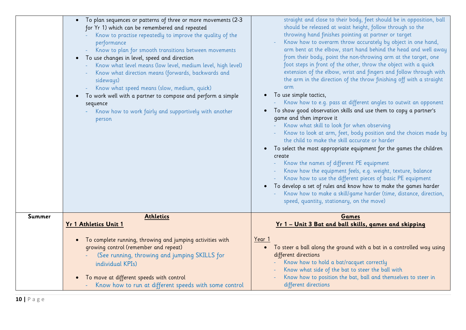|        | • To plan sequences or patterns of three or more movements (2-3<br>for Yr 1) which can be remembered and repeated<br>Know to practise repeatedly to improve the quality of the<br>performance<br>Know to plan for smooth transitions between movements<br>To use changes in level, speed and direction<br>$\bullet$<br>Know what level means (low level, medium level, high level)<br>Know what direction means (forwards, backwards and<br>sideways)<br>Know what speed means (slow, medium, quick)<br>To work well with a partner to compose and perform a simple<br>$\bullet$<br>sequence<br>Know how to work fairly and supportively with another<br>person | straight and close to their body, feet should be in opposition, ball<br>should be released at waist height, follow through so the<br>throwing hand finishes pointing at partner or target<br>Know how to overarm throw accurately by object in one hand,<br>arm bent at the elbow, start hand behind the head and well away<br>from their body, point the non-throwing arm at the target, one<br>foot steps in front of the other, throw the object with a quick<br>extension of the elbow, wrist and fingers and follow through with<br>the arm in the direction of the throw finishing off with a straight<br>arm<br>To use simple tactics,<br>Know how to e.g. pass at different angles to outwit an opponent<br>To show good observation skills and use them to copy a partner's<br>game and then improve it<br>Know what skill to look for when observing<br>Know to look at arm, feet, body position and the choices made by<br>the child to make the skill accurate or harder<br>To select the most appropriate equipment for the games the children<br>$\bullet$<br>create<br>Know the names of different PE equipment<br>Know how the equipment feels, e.g. weight, texture, balance<br>Know how to use the different pieces of basic PE equipment<br>To develop a set of rules and know how to make the games harder<br>Know how to make a skill/game harder (time, distance, direction,<br>speed, quantity, stationary, on the move) |
|--------|-----------------------------------------------------------------------------------------------------------------------------------------------------------------------------------------------------------------------------------------------------------------------------------------------------------------------------------------------------------------------------------------------------------------------------------------------------------------------------------------------------------------------------------------------------------------------------------------------------------------------------------------------------------------|-------------------------------------------------------------------------------------------------------------------------------------------------------------------------------------------------------------------------------------------------------------------------------------------------------------------------------------------------------------------------------------------------------------------------------------------------------------------------------------------------------------------------------------------------------------------------------------------------------------------------------------------------------------------------------------------------------------------------------------------------------------------------------------------------------------------------------------------------------------------------------------------------------------------------------------------------------------------------------------------------------------------------------------------------------------------------------------------------------------------------------------------------------------------------------------------------------------------------------------------------------------------------------------------------------------------------------------------------------------------------------------------------------------------------------------------------|
| Summer | <b>Athletics</b><br><b>Yr 1 Athletics Unit 1</b><br>To complete running, throwing and jumping activities with                                                                                                                                                                                                                                                                                                                                                                                                                                                                                                                                                   | Games<br><u>Yr 1 - Unit 3 Bat and ball skills, games and skipping</u><br>Year 1                                                                                                                                                                                                                                                                                                                                                                                                                                                                                                                                                                                                                                                                                                                                                                                                                                                                                                                                                                                                                                                                                                                                                                                                                                                                                                                                                                 |
|        | growing control (remember and repeat)<br>(See running, throwing and jumping SKILLS for<br>individual KPIs)<br>To move at different speeds with control<br>$\bullet$<br>Know how to run at different speeds with some control                                                                                                                                                                                                                                                                                                                                                                                                                                    | To steer a ball along the ground with a bat in a controlled way using<br>$\bullet$<br>different directions<br>Know how to hold a bat/racquet correctly<br>Know what side of the bat to steer the ball with<br>Know how to position the bat, ball and themselves to steer in<br>different directions                                                                                                                                                                                                                                                                                                                                                                                                                                                                                                                                                                                                                                                                                                                                                                                                                                                                                                                                                                                                                                                                                                                                             |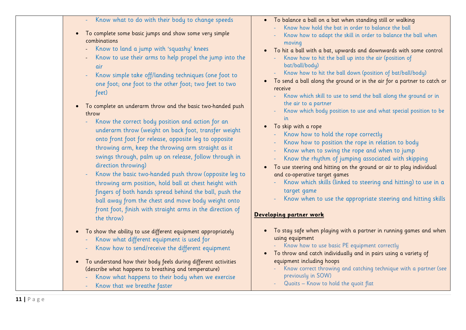|  |  |  |  |  |  |  |  |  | Know what to do with their body to change speeds |  |
|--|--|--|--|--|--|--|--|--|--------------------------------------------------|--|
|--|--|--|--|--|--|--|--|--|--------------------------------------------------|--|

- To complete some basic jumps and show some very simple combinations
	- Know to land a jump with 'squashy' knees
	- Know to use their arms to help propel the jump into the air
	- Know simple take off/landing techniques (one foot to one foot; one foot to the other foot; two feet to two feet)
- To complete an underarm throw and the basic two-handed push throw
	- Know the correct body position and action for an underarm throw (weight on back foot, transfer weight onto front foot for release, opposite leg to opposite throwing arm, keep the throwing arm straight as it swings through, palm up on release, follow through in direction throwing)
	- Know the basic two-handed push throw (opposite leg to throwing arm position, hold ball at chest height with fingers of both hands spread behind the ball, push the ball away from the chest and move body weight onto front foot, finish with straight arms in the direction of the throw)
- To show the ability to use different equipment appropriately
	- Know what different equipment is used for
	- Know how to send/receive the different equipment
- To understand how their body feels during different activities (describe what happens to breathing and temperature)
	- Know what happens to their body when we exercise
	- Know that we breathe faster
- To balance a ball on a bat when standing still or walking
	- Know how hold the bat in order to balance the ball
	- Know how to adapt the skill in order to balance the ball when moving
- To hit a ball with a bat, upwards and downwards with some control
	- Know how to hit the ball up into the air (position of bat/ball/body)
	- Know how to hit the ball down (position of bat/ball/body)
- To send a ball along the ground or in the air for a partner to catch or receive
	- Know which skill to use to send the ball along the ground or in the air to a partner
	- Know which body position to use and what special position to be in
- To skip with a rope
	- Know how to hold the rope correctly
	- Know how to position the rope in relation to body
	- Know when to swing the rope and when to jump
	- Know the rhythm of jumping associated with skipping
- To use steering and hitting on the ground or air to play individual and co-operative target games
	- Know which skills (linked to steering and hitting) to use in a target game
	- Know when to use the appropriate steering and hitting skills

### **Developing partner work**

- To stay safe when playing with a partner in running games and when using equipment
	- Know how to use basic PE equipment correctly
- To throw and catch individually and in pairs using a variety of equipment including hoops
	- Know correct throwing and catching technique with a partner (see previously in SOW)
	- Quoits Know to hold the quoit flat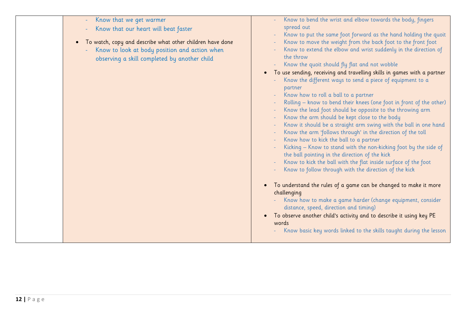| Know that we get warmer<br>$\blacksquare$<br>Know that our heart will beat faster<br>To watch, copy and describe what other children have done<br>$\bullet$<br>Know to look at body position and action when<br>observing a skill completed by another child | Know to bend the wrist and elbow towards the body, fingers<br>spread out<br>Know to put the same foot forward as the hand holding the quoit<br>Know to move the weight from the back foot to the front foot<br>Know to extend the elbow and wrist suddenly in the direction of<br>the throw<br>Know the quoit should fly flat and not wobble<br>To use sending, receiving and travelling skills in games with a partner<br>Know the different ways to send a piece of equipment to a<br>partner<br>Know how to roll a ball to a partner<br>Rolling - know to bend their knees (one foot in front of the other)<br>Know the lead foot should be opposite to the throwing arm<br>Know the arm should be kept close to the body<br>Know it should be a straight arm swing with the ball in one hand<br>Know the arm 'follows through' in the direction of the toll<br>Know how to kick the ball to a partner<br>Kicking - Know to stand with the non-kicking foot by the side of<br>the ball pointing in the direction of the kick<br>Know to kick the ball with the flat inside surface of the foot<br>Know to follow through with the direction of the kick<br>To understand the rules of a game can be changed to make it more<br>challenging<br>Know how to make a game harder (change equipment, consider<br>distance, speed, direction and timing)<br>To observe another child's activity and to describe it using key PE<br>words<br>Know basic key words linked to the skills taught during the lesson |
|--------------------------------------------------------------------------------------------------------------------------------------------------------------------------------------------------------------------------------------------------------------|-------------------------------------------------------------------------------------------------------------------------------------------------------------------------------------------------------------------------------------------------------------------------------------------------------------------------------------------------------------------------------------------------------------------------------------------------------------------------------------------------------------------------------------------------------------------------------------------------------------------------------------------------------------------------------------------------------------------------------------------------------------------------------------------------------------------------------------------------------------------------------------------------------------------------------------------------------------------------------------------------------------------------------------------------------------------------------------------------------------------------------------------------------------------------------------------------------------------------------------------------------------------------------------------------------------------------------------------------------------------------------------------------------------------------------------------------------------------------------------------------------------|
|                                                                                                                                                                                                                                                              |                                                                                                                                                                                                                                                                                                                                                                                                                                                                                                                                                                                                                                                                                                                                                                                                                                                                                                                                                                                                                                                                                                                                                                                                                                                                                                                                                                                                                                                                                                             |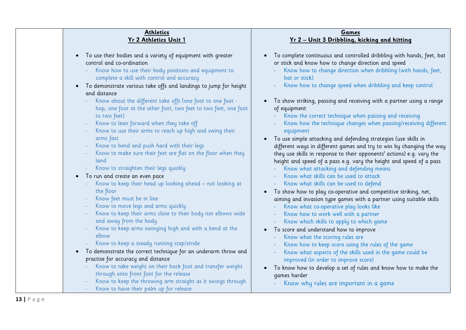#### **Athletics Yr 2 Athletics Unit 1**

• To use their bodies and a variety of equipment with greater control and co-ordination Know how to use their body positions and equipment to complete a skill with control and accuracy • To demonstrate various take offs and landings to jump for height and distance Know about the different take offs (one foot to one foot hop, one foot ot the other foot, two feet to two feet, one foot to two feet) Know to lean forward when they take off Know to use their arms to reach up high and swing their arms fast Know to bend and push hard with their legs Know to make sure their feet are flat on the floor when they land Know to straighten their legs quickly • To run and create an even pace Know to keep their head up looking ahead – not looking at the floor Know feet must be in line Know to move legs and arms quickly Know to keep their arms close to their body not elbows wide and away from the body Know to keep arms swinging high and with a bend at the elbow Know to keep a steady running step/stride • To demonstrate the correct technique for an underarm throw and practise for accuracy and distance Know to take weight on their back foot and transfer weight through onto front foot for the release Know to keep the throwing arm straight as it swings through Know to have their palm up for release • To complete continuous and controlled dribbling with hands, feet, bat or stick and know how to change direction and speed Know how to change direction when dribbling (with hands, feet, bat or stick) - Know how to change speed when dribbling and keep control • To show striking, passing and receiving with a partner using a range of equipment Know the correct technique when passing and receiving - Know how the technique changes when passing/receiving different equipment • To use simple attacking and defending strategies (use skills in different ways in different games and try to win by changing the way they use skills in response to their opponents' actions) e.g. vary the height and speed of a pass e.g. vary the height and speed of a pass Know what attacking and defending means - Know what skills can be used to attack - Know what skills can be used to defend • To show how to play co-operative and competitive striking, net, aiming and invasion type games with a partner using suitable skills Know what co-operative play looks like Know how to work well with a partner Know which skills to apply to which game • To score and understand how to improve Know what the scoring rules are Know how to keep score using the rules of the game Know what aspects of the skills used in the game could be improved (in order to improve score) • To know how to develop a set of rules and know how to make the games harder Know why rules are important in a game

**Games Yr 2 – Unit 3 Dribbling, kicking and hitting**